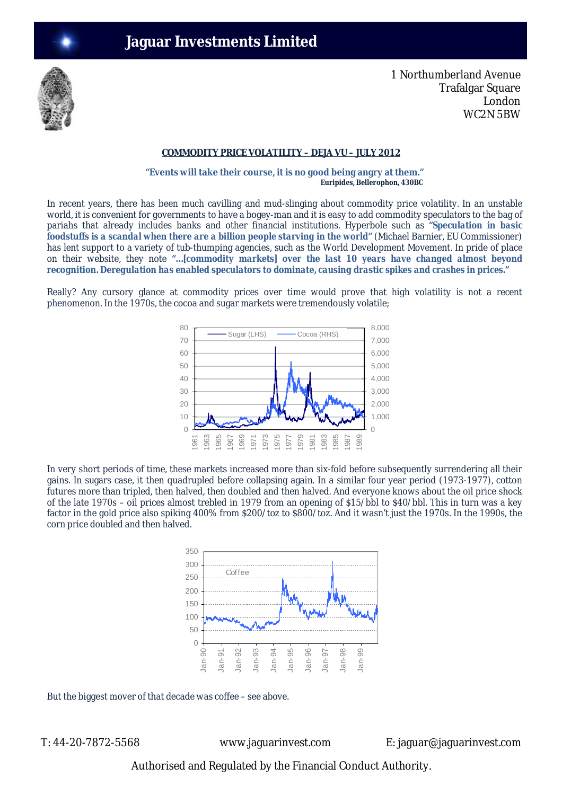

1 Northumberland Avenue Trafalgar Square London WC2N 5BW

## **COMMODITY PRICE VOLATILITY – DEJA VU – JULY 2012**

**"Events will take their course, it is no good being angry at them."**   *Euripides, Bellerophon, 430BC*

In recent years, there has been much cavilling and mud-slinging about commodity price volatility. In an unstable world, it is convenient for governments to have a bogey-man and it is easy to add commodity speculators to the bag of pariahs that already includes banks and other financial institutions. Hyperbole such as **"***Speculation in basic foodstuffs is a scandal when there are a billion people starving in the world***"** (Michael Barnier, EU Commissioner) has lent support to a variety of tub-thumping agencies, such as the World Development Movement. In pride of place on their website, they note **"…***[commodity markets] over the last 10 years have changed almost beyond recognition. Deregulation has enabled speculators to dominate, causing drastic spikes and crashes in prices.***"**

Really? Any cursory glance at commodity prices over time would prove that high volatility is not a recent phenomenon. In the 1970s, the cocoa and sugar markets were tremendously volatile;



In very short periods of time, these markets increased more than six-fold before subsequently surrendering all their gains. In sugars case, it then quadrupled before collapsing again. In a similar four year period (1973-1977), cotton futures more than tripled, then halved, then doubled and then halved. And everyone knows about the oil price shock of the late 1970s – oil prices almost trebled in 1979 from an opening of \$15/bbl to \$40/bbl. This in turn was a key factor in the gold price also spiking 400% from \$200/toz to \$800/toz. And it wasn't just the 1970s. In the 1990s, the corn price doubled and then halved.



But the biggest mover of that decade was coffee – see above.

T: 44-20-7872-5568 www.jaguarinvest.com E: jaguar@jaguarinvest.com

Authorised and Regulated by the Financial Conduct Authority.